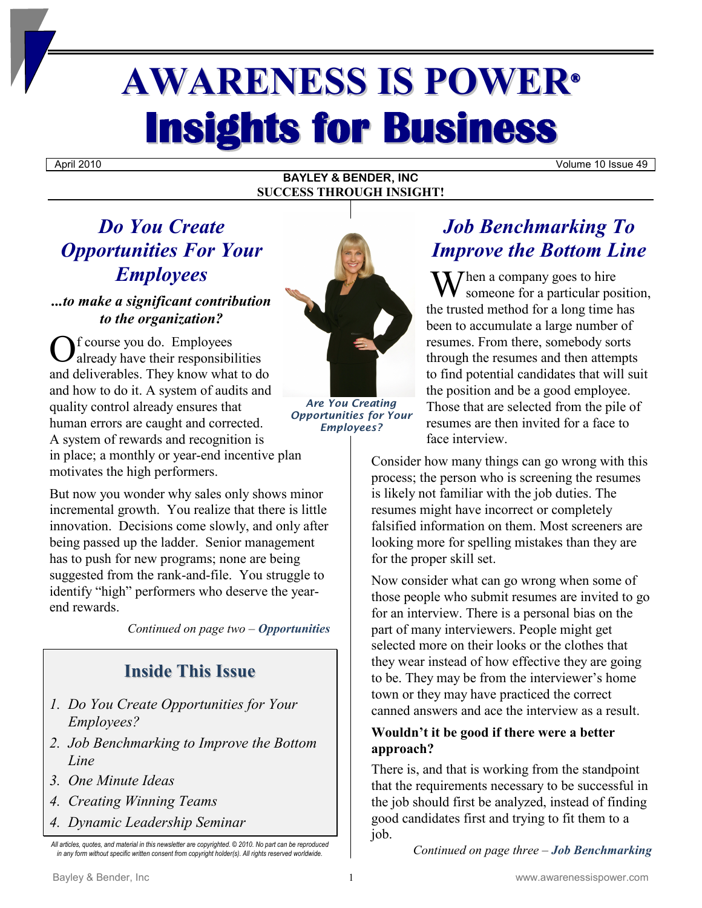# **AWARENESS IS POWER® Insights for Business**

April 2010 Volume 10 Issue 49

#### **BAYLEY & BENDER, INC SUCCESS THROUGH INSIGHT!**

## *Do You Create Opportunities For Your Employees*

#### *...to make a significant contribution to the organization?*

f course you do. Employees already have their responsibilities and deliverables. They know what to do and how to do it. A system of audits and quality control already ensures that human errors are caught and corrected. A system of rewards and recognition is in place; a monthly or year-end incentive plan motivates the high performers. O

But now you wonder why sales only shows minor incremental growth. You realize that there is little innovation. Decisions come slowly, and only after being passed up the ladder. Senior management has to push for new programs; none are being suggested from the rank-and-file. You struggle to identify "high" performers who deserve the yearend rewards.

*Continued on page two – Opportunities*

## **Inside This Issue**

- *1. Do You Create Opportunities for Your Employees?*
- *2. Job Benchmarking to Improve the Bottom Line*
- *3. One Minute Ideas*
- *4. Creating Winning Teams*
- *4. Dynamic Leadership Seminar*



*Are You Creating Opportunities for Your Employees?*

## *Job Benchmarking To Improve the Bottom Line*

When a company goes to hire<br>
someone for a particular pos someone for a particular position, the trusted method for a long time has been to accumulate a large number of resumes. From there, somebody sorts through the resumes and then attempts to find potential candidates that will suit the position and be a good employee. Those that are selected from the pile of resumes are then invited for a face to face interview.

Consider how many things can go wrong with this process; the person who is screening the resumes is likely not familiar with the job duties. The resumes might have incorrect or completely falsified information on them. Most screeners are looking more for spelling mistakes than they are for the proper skill set.

Now consider what can go wrong when some of those people who submit resumes are invited to go for an interview. There is a personal bias on the part of many interviewers. People might get selected more on their looks or the clothes that they wear instead of how effective they are going to be. They may be from the interviewer's home town or they may have practiced the correct canned answers and ace the interview as a result.

#### **Wouldn't it be good if there were a better approach?**

There is, and that is working from the standpoint that the requirements necessary to be successful in the job should first be analyzed, instead of finding good candidates first and trying to fit them to a job.

*Continued on page three – Job Benchmarking*

*All articles, quotes, and material in this newsletter are copyrighted. © 2010. No part can be reproduced in any form without specific written consent from copyright holder(s). All rights reserved worldwide.*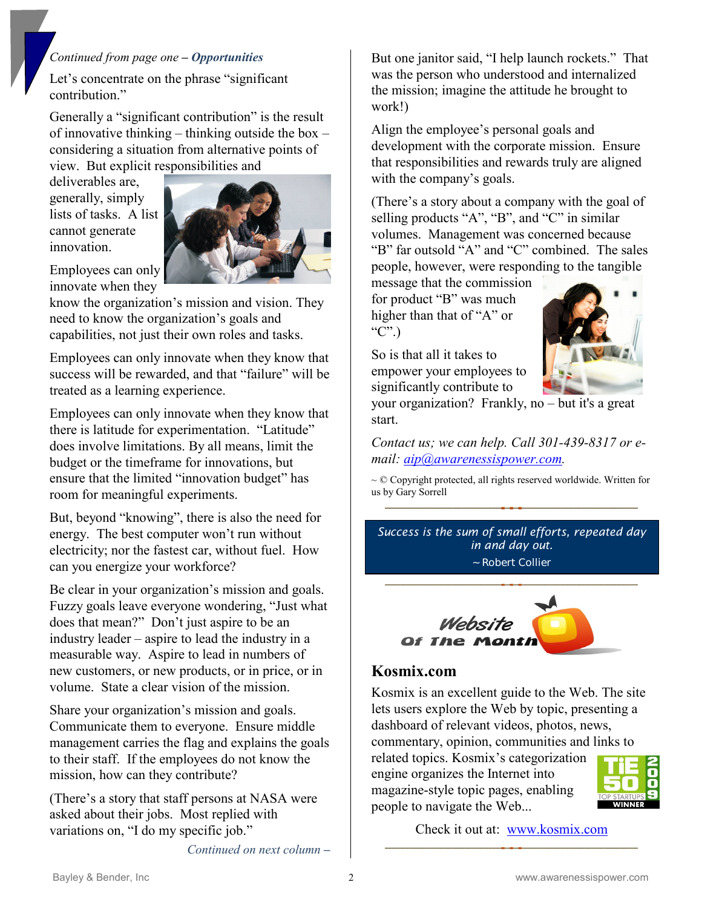#### *Continued from page one – Opportunities*

Let's concentrate on the phrase "significant contribution."

Generally a "significant contribution" is the result of innovative thinking – thinking outside the box – considering a situation from alternative points of view. But explicit responsibilities and

deliverables are, generally, simply lists of tasks. A list cannot generate innovation.



Employees can only innovate when they

know the organization's mission and vision. They need to know the organization's goals and capabilities, not just their own roles and tasks.

Employees can only innovate when they know that success will be rewarded, and that "failure" will be treated as a learning experience.

Employees can only innovate when they know that there is latitude for experimentation. "Latitude" does involve limitations. By all means, limit the budget or the timeframe for innovations, but ensure that the limited "innovation budget" has room for meaningful experiments.

But, beyond "knowing", there is also the need for energy. The best computer won't run without electricity; nor the fastest car, without fuel. How can you energize your workforce?

Be clear in your organization's mission and goals. Fuzzy goals leave everyone wondering, "Just what does that mean?" Don't just aspire to be an industry leader – aspire to lead the industry in a measurable way. Aspire to lead in numbers of new customers, or new products, or in price, or in volume. State a clear vision of the mission.

Share your organization's mission and goals. Communicate them to everyone. Ensure middle management carries the flag and explains the goals to their staff. If the employees do not know the mission, how can they contribute?

(There's a story that staff persons at NASA were asked about their jobs. Most replied with variations on, "I do my specific job."

*Continued on next column* **–**

But one janitor said, "I help launch rockets." That was the person who understood and internalized the mission; imagine the attitude he brought to work!)

Align the employee's personal goals and development with the corporate mission. Ensure that responsibilities and rewards truly are aligned with the company's goals.

(There's a story about a company with the goal of selling products "A", "B", and "C" in similar volumes. Management was concerned because "B" far outsold "A" and "C" combined. The sales people, however, were responding to the tangible

message that the commission for product "B" was much higher than that of "A" or " $C$ ".)

So is that all it takes to empower your employees to significantly contribute to



your organization? Frankly, no – but it's a great start.

*Contact us; we can help. Call 301-439-8317 or email: [aip@awarenessispower.com.](mailto:aip@awarenessispower.com)*

~ © Copyright protected, all rights reserved worldwide. Written for us by Gary Sorrell

*Success is the sum of small efforts, repeated day in and day out.* ~ Robert Collier



#### **Kosmix.com**

Kosmix is an excellent guide to the Web. The site lets users explore the Web by topic, presenting a dashboard of relevant videos, photos, news, commentary, opinion, communities and links to related topics. Kosmix's categorization engine organizes the Internet into magazine-style topic pages, enabling



Check it out at: [www.kosmix.com](http://www.kosmix.com/)

people to navigate the Web...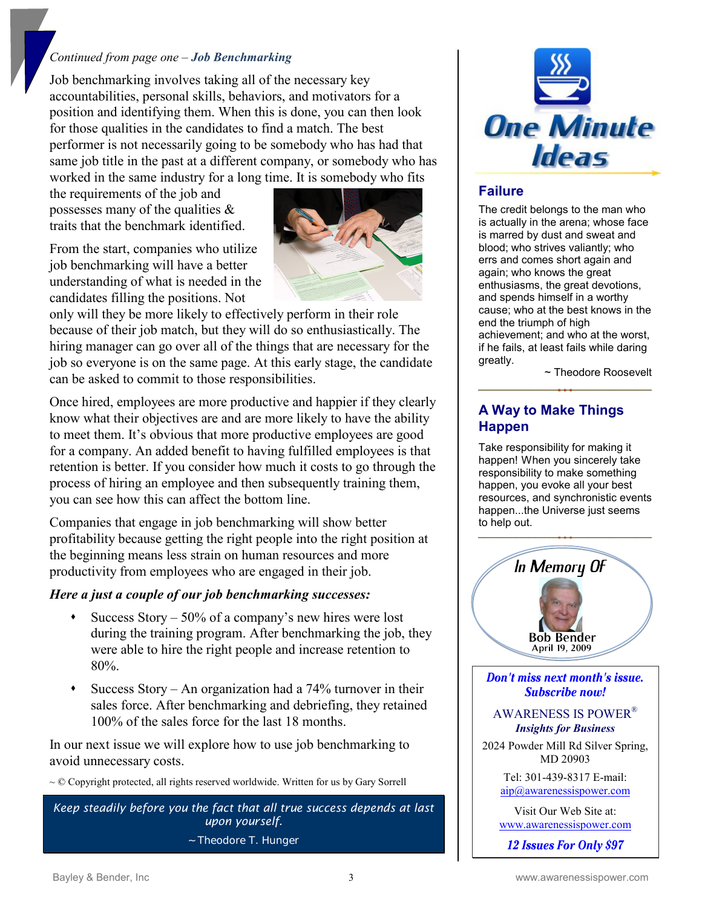#### *Continued from page one – Job Benchmarking*

Job benchmarking involves taking all of the necessary key accountabilities, personal skills, behaviors, and motivators for a position and identifying them. When this is done, you can then look for those qualities in the candidates to find a match. The best performer is not necessarily going to be somebody who has had that same job title in the past at a different company, or somebody who has worked in the same industry for a long time. It is somebody who fits

the requirements of the job and possesses many of the qualities & traits that the benchmark identified.

From the start, companies who utilize job benchmarking will have a better understanding of what is needed in the candidates filling the positions. Not



only will they be more likely to effectively perform in their role because of their job match, but they will do so enthusiastically. The hiring manager can go over all of the things that are necessary for the job so everyone is on the same page. At this early stage, the candidate can be asked to commit to those responsibilities.

Once hired, employees are more productive and happier if they clearly know what their objectives are and are more likely to have the ability to meet them. It's obvious that more productive employees are good for a company. An added benefit to having fulfilled employees is that retention is better. If you consider how much it costs to go through the process of hiring an employee and then subsequently training them, you can see how this can affect the bottom line.

Companies that engage in job benchmarking will show better profitability because getting the right people into the right position at the beginning means less strain on human resources and more productivity from employees who are engaged in their job.

#### *Here a just a couple of our job benchmarking successes:*

- Success Story 50% of a company's new hires were lost during the training program. After benchmarking the job, they were able to hire the right people and increase retention to 80%.
- Success Story An organization had a  $74\%$  turnover in their sales force. After benchmarking and debriefing, they retained 100% of the sales force for the last 18 months.

In our next issue we will explore how to use job benchmarking to avoid unnecessary costs.

~ © Copyright protected, all rights reserved worldwide. Written for us by Gary Sorrell

*Keep steadily before you the fact that all true success depends at last upon yourself.*

~ Theodore T. Hunger



#### **Failure**

The credit belongs to the man who is actually in the arena; whose face is marred by dust and sweat and blood; who strives valiantly; who errs and comes short again and again; who knows the great enthusiasms, the great devotions, and spends himself in a worthy cause; who at the best knows in the end the triumph of high achievement; and who at the worst, if he fails, at least fails while daring greatly.

~ Theodore Roosevelt

#### **A Way to Make Things Happen**

Take responsibility for making it happen! When you sincerely take responsibility to make something happen, you evoke all your best resources, and synchronistic events happen...the Universe just seems to help out.